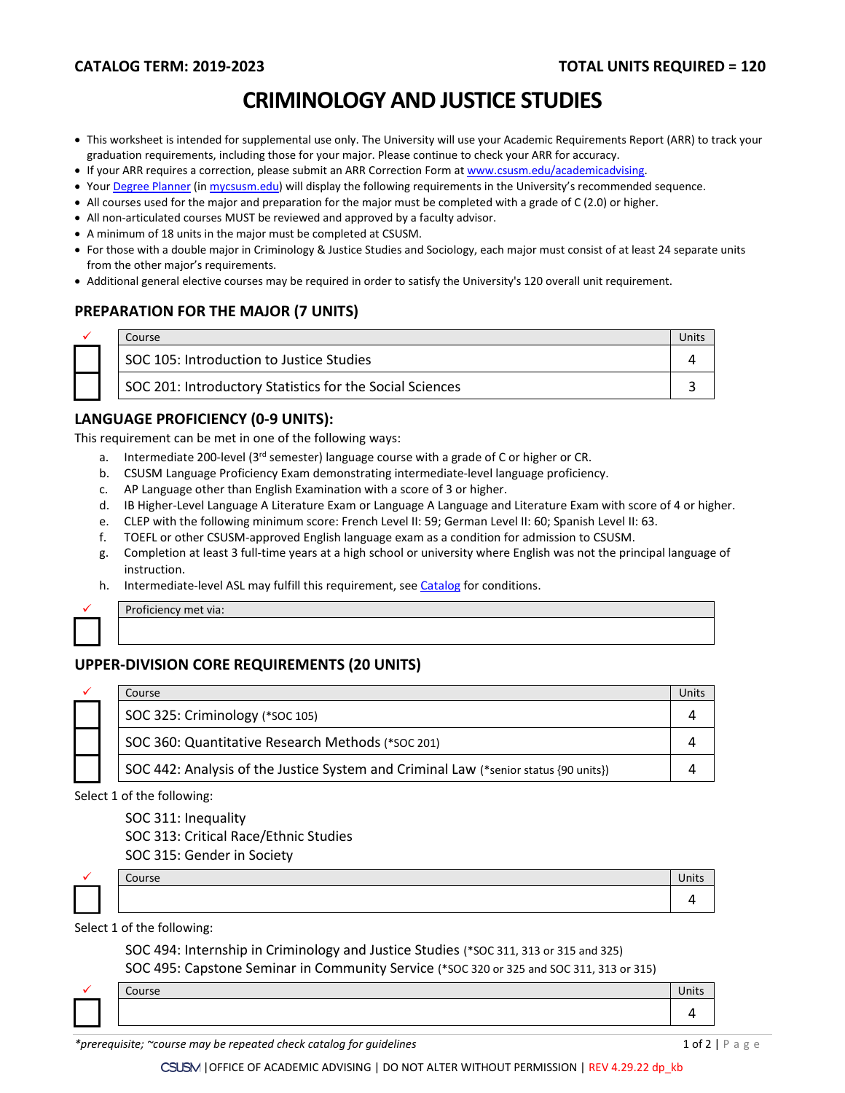# **CRIMINOLOGY AND JUSTICE STUDIES**

- This worksheet is intended for supplemental use only. The University will use your Academic Requirements Report (ARR) to track your graduation requirements, including those for your major. Please continue to check your ARR for accuracy.
- If your ARR requires a correction, please submit an [ARR Correction Form](http://www.csusm.edu/academicadvising/arrcorrection/index.html) a[t www.csusm.edu/academicadvising.](http://www.csusm.edu/academicadvising)
- You[r Degree Planner](https://www.csusm.edu/academicadvising/degreeplanner/index.html) (i[n mycsusm.edu\)](https://my.csusm.edu/) will display the following requirements in the University's recommended sequence.
- All courses used for the major and preparation for the major must be completed with a grade of C (2.0) or higher.
- All non-articulated courses MUST be reviewed and approved by a faculty advisor.
- A minimum of 18 units in the major must be completed at CSUSM.
- For those with a double major in Criminology & Justice Studies and Sociology, each major must consist of at least 24 separate units from the other major's requirements.
- Additional general elective courses may be required in order to satisfy the University's 120 overall unit requirement.

## **PREPARATION FOR THE MAJOR (7 UNITS)**

| Course                                                   |  |
|----------------------------------------------------------|--|
| SOC 105: Introduction to Justice Studies                 |  |
| SOC 201: Introductory Statistics for the Social Sciences |  |

#### **LANGUAGE PROFICIENCY (0-9 UNITS):**

This requirement can be met in one of the following ways:

- a. Intermediate 200-level ( $3<sup>rd</sup>$  semester) language course with a grade of C or higher or CR.
- b. CSUSM Language Proficiency Exam demonstrating intermediate-level language proficiency.
- c. AP Language other than English Examination with a score of 3 or higher.
- d. IB Higher-Level Language A Literature Exam or Language A Language and Literature Exam with score of 4 or higher.
- e. CLEP with the following minimum score: French Level II: 59; German Level II: 60; Spanish Level II: 63.
- f. TOEFL or other CSUSM-approved English language exam as a condition for admission to CSUSM.
- g. Completion at least 3 full-time years at a high school or university where English was not the principal language of instruction.
- h. Intermediate-level ASL may fulfill this requirement, se[e Catalog](http://catalog.csusm.edu/) for conditions.



Proficiency met via:

## **UPPER-DIVISION CORE REQUIREMENTS (20 UNITS)**

| ✓ | Course                                                                               |  |
|---|--------------------------------------------------------------------------------------|--|
|   | SOC 325: Criminology (*SOC 105)                                                      |  |
|   | SOC 360: Quantitative Research Methods (*soc 201)                                    |  |
|   | SOC 442: Analysis of the Justice System and Criminal Law (*senior status {90 units}) |  |

Select 1 of the following:

SOC 311: Inequality

SOC 313: Critical Race/Ethnic Studies

SOC 315: Gender in Society

 $\checkmark$  Course Units and  $\checkmark$  Units and  $\checkmark$  Units and  $\checkmark$  Units and  $\checkmark$  Units and  $\checkmark$  Units and  $\checkmark$  Units and  $\checkmark$  Units and  $\checkmark$  Units and  $\checkmark$  Units and  $\checkmark$  Units and  $\checkmark$  Units and  $\checkmark$  Units and  $\checkmark$  4

Select 1 of the following:

SOC 494: Internship in Criminology and Justice Studies (\*SOC 311, 313 or 315 and 325) SOC 495: Capstone Seminar in Community Service (\*SOC 320 or 325 and SOC 311, 313 or 315)

|  | Course | Units |
|--|--------|-------|
|  |        |       |
|  |        |       |